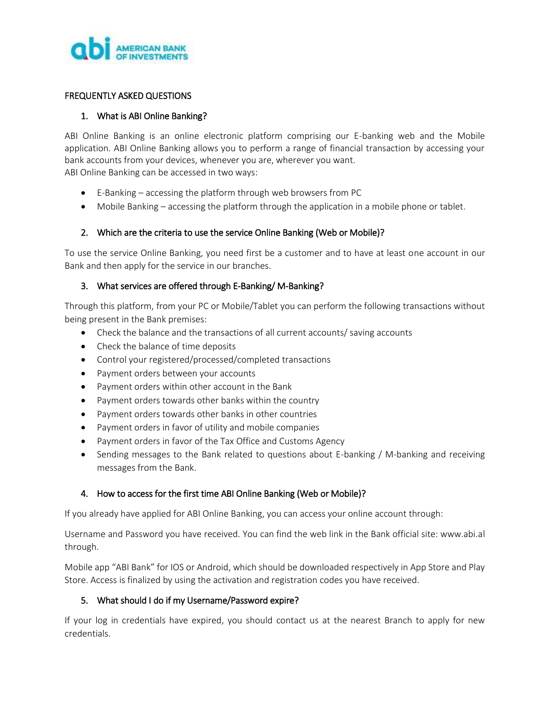

### FREQUENTLY ASKED QUESTIONS

#### 1. What is ABI Online Banking?

ABI Online Banking is an online electronic platform comprising our E-banking web and the Mobile application. ABI Online Banking allows you to perform a range of financial transaction by accessing your bank accounts from your devices, whenever you are, wherever you want. ABI Online Banking can be accessed in two ways:

- E-Banking accessing the platform through web browsers from PC
- Mobile Banking accessing the platform through the application in a mobile phone or tablet.

### 2. Which are the criteria to use the service Online Banking (Web or Mobile)?

To use the service Online Banking, you need first be a customer and to have at least one account in our Bank and then apply for the service in our branches.

### 3. What services are offered through E-Banking/ M-Banking?

Through this platform, from your PC or Mobile/Tablet you can perform the following transactions without being present in the Bank premises:

- Check the balance and the transactions of all current accounts/ saving accounts
- Check the balance of time deposits
- Control your registered/processed/completed transactions
- Payment orders between your accounts
- Payment orders within other account in the Bank
- Payment orders towards other banks within the country
- Payment orders towards other banks in other countries
- Payment orders in favor of utility and mobile companies
- Payment orders in favor of the Tax Office and Customs Agency
- Sending messages to the Bank related to questions about E-banking / M-banking and receiving messages from the Bank.

### 4. How to access for the first time ABI Online Banking (Web or Mobile)?

If you already have applied for ABI Online Banking, you can access your online account through:

Username and Password you have received. You can find the web link in the Bank official site: www.abi.al through.

Mobile app "ABI Bank" for IOS or Android, which should be downloaded respectively in App Store and Play Store. Access is finalized by using the activation and registration codes you have received.

### 5. What should I do if my Username/Password expire?

If your log in credentials have expired, you should contact us at the nearest Branch to apply for new credentials.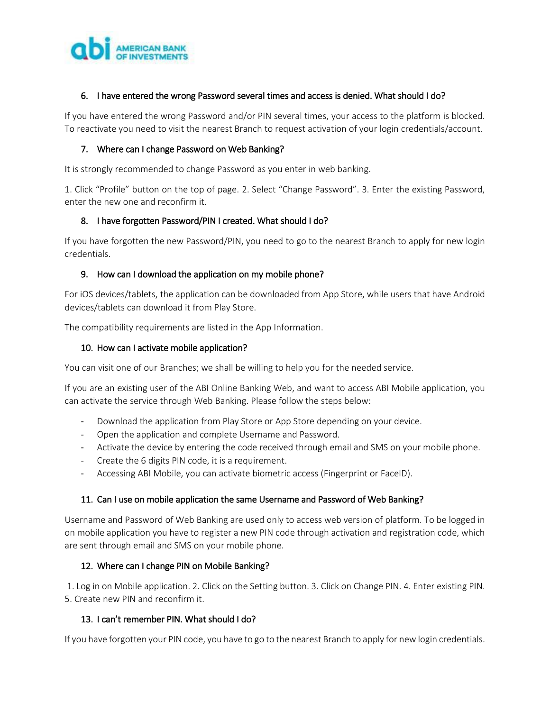

### 6. I have entered the wrong Password several times and access is denied. What should I do?

If you have entered the wrong Password and/or PIN several times, your access to the platform is blocked. To reactivate you need to visit the nearest Branch to request activation of your login credentials/account.

### 7. Where can I change Password on Web Banking?

It is strongly recommended to change Password as you enter in web banking.

1. Click "Profile" button on the top of page. 2. Select "Change Password". 3. Enter the existing Password, enter the new one and reconfirm it.

### 8. I have forgotten Password/PIN I created. What should I do?

If you have forgotten the new Password/PIN, you need to go to the nearest Branch to apply for new login credentials.

### 9. How can I download the application on my mobile phone?

For iOS devices/tablets, the application can be downloaded from App Store, while users that have Android devices/tablets can download it from Play Store.

The compatibility requirements are listed in the App Information.

### 10. How can I activate mobile application?

You can visit one of our Branches; we shall be willing to help you for the needed service.

If you are an existing user of the ABI Online Banking Web, and want to access ABI Mobile application, you can activate the service through Web Banking. Please follow the steps below:

- Download the application from Play Store or App Store depending on your device.
- Open the application and complete Username and Password.
- Activate the device by entering the code received through email and SMS on your mobile phone.
- Create the 6 digits PIN code, it is a requirement.
- Accessing ABI Mobile, you can activate biometric access (Fingerprint or FaceID).

### 11. Can I use on mobile application the same Username and Password of Web Banking?

Username and Password of Web Banking are used only to access web version of platform. To be logged in on mobile application you have to register a new PIN code through activation and registration code, which are sent through email and SMS on your mobile phone.

# 12. Where can I change PIN on Mobile Banking?

1. Log in on Mobile application. 2. Click on the Setting button. 3. Click on Change PIN. 4. Enter existing PIN. 5. Create new PIN and reconfirm it.

# 13. I can't remember PIN. What should I do?

If you have forgotten your PIN code, you have to go to the nearest Branch to apply for new login credentials.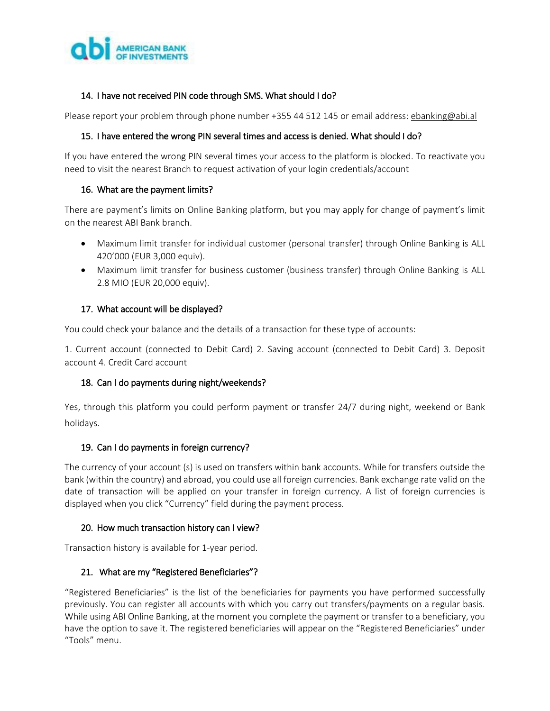

## 14. I have not received PIN code through SMS. What should I do?

Please report your problem through phone number +355 44 512 145 or email address[: ebanking@abi.al](mailto:ebanking@abi.al)

### 15. I have entered the wrong PIN several times and access is denied. What should I do?

If you have entered the wrong PIN several times your access to the platform is blocked. To reactivate you need to visit the nearest Branch to request activation of your login credentials/account

### 16. What are the payment limits?

There are payment's limits on Online Banking platform, but you may apply for change of payment's limit on the nearest ABI Bank branch.

- Maximum limit transfer for individual customer (personal transfer) through Online Banking is ALL 420'000 (EUR 3,000 equiv).
- Maximum limit transfer for business customer (business transfer) through Online Banking is ALL 2.8 MIO (EUR 20,000 equiv).

### 17. What account will be displayed?

You could check your balance and the details of a transaction for these type of accounts:

1. Current account (connected to Debit Card) 2. Saving account (connected to Debit Card) 3. Deposit account 4. Credit Card account

### 18. Can I do payments during night/weekends?

Yes, through this platform you could perform payment or transfer 24/7 during night, weekend or Bank holidays.

### 19. Can I do payments in foreign currency?

The currency of your account (s) is used on transfers within bank accounts. While for transfers outside the bank (within the country) and abroad, you could use all foreign currencies. Bank exchange rate valid on the date of transaction will be applied on your transfer in foreign currency. A list of foreign currencies is displayed when you click "Currency" field during the payment process.

# 20. How much transaction history can I view?

Transaction history is available for 1-year period.

### 21. What are my "Registered Beneficiaries"?

"Registered Beneficiaries" is the list of the beneficiaries for payments you have performed successfully previously. You can register all accounts with which you carry out transfers/payments on a regular basis. While using ABI Online Banking, at the moment you complete the payment or transfer to a beneficiary, you have the option to save it. The registered beneficiaries will appear on the "Registered Beneficiaries" under "Tools" menu.